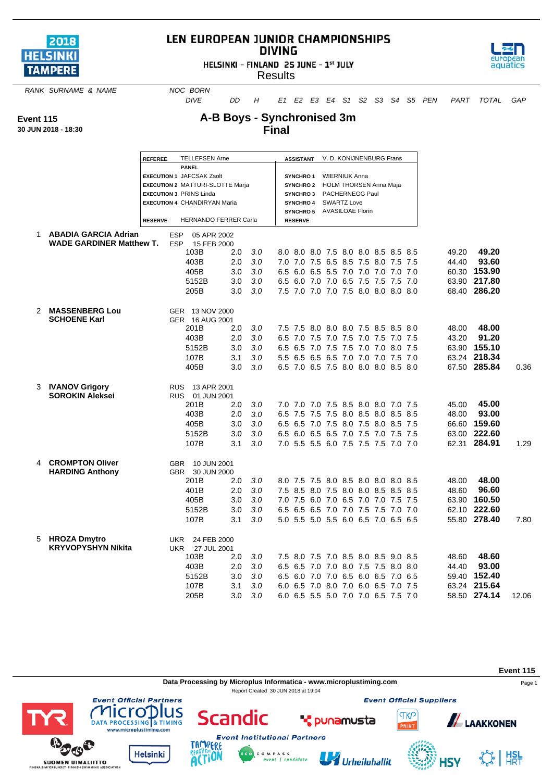

## LEN EUROPEAN JUNIOR CHAMPIONSHIPS **DIVING**

HELSINKI - FINLAND 25 JUNE - 1st JULY



**Results** 

**RANK SURNAME & NAME NOC BORN** 

*DIVE DD H E1 E2 E3 E4 S1 S2 S3 S4 S5 PEN PART TOTAL GAP*

**Event 115**

**30 JUN 2018 - 18:30**

## **A-B Boys - Synchronised 3m Final**

|               | <b>REFEREE</b>                  | <b>TELLEFSEN Arne</b>                                                     |     |                                                                              |  |                |                      |  |                                  |  | ASSISTANT V. D. KONIJNENBURG Frans  |  |  |       |              |       |
|---------------|---------------------------------|---------------------------------------------------------------------------|-----|------------------------------------------------------------------------------|--|----------------|----------------------|--|----------------------------------|--|-------------------------------------|--|--|-------|--------------|-------|
|               |                                 | <b>PANEL</b>                                                              |     |                                                                              |  |                |                      |  |                                  |  |                                     |  |  |       |              |       |
|               |                                 | <b>EXECUTION 1 JAFCSAK Zsolt</b>                                          |     | <b>SYNCHRO1</b>                                                              |  |                | <b>WIERNIUK Anna</b> |  |                                  |  |                                     |  |  |       |              |       |
|               |                                 | <b>EXECUTION 2 MATTURI-SLOTTE Marja</b><br><b>EXECUTION 3 PRINS Linda</b> |     |                                                                              |  |                |                      |  | SYNCHRO 2 HOLM THORSEN Anna Maja |  |                                     |  |  |       |              |       |
|               |                                 | <b>EXECUTION 4 CHANDIRYAN Maria</b>                                       |     | PACHERNEGG Paul<br><b>SYNCHRO3</b><br><b>SWARTZ Love</b><br><b>SYNCHRO 4</b> |  |                |                      |  |                                  |  |                                     |  |  |       |              |       |
|               |                                 |                                                                           |     |                                                                              |  |                |                      |  | SYNCHRO 5 AVASILOAE Florin       |  |                                     |  |  |       |              |       |
|               | <b>RESERVE</b>                  | HERNANDO FERRER Carla                                                     |     |                                                                              |  | <b>RESERVE</b> |                      |  |                                  |  |                                     |  |  |       |              |       |
| 1             | <b>ABADIA GARCIA Adrian</b>     | <b>ESP</b><br>05 APR 2002                                                 |     |                                                                              |  |                |                      |  |                                  |  |                                     |  |  |       |              |       |
|               | <b>WADE GARDINER Matthew T.</b> | <b>ESP</b><br>15 FEB 2000                                                 |     |                                                                              |  |                |                      |  |                                  |  |                                     |  |  |       |              |       |
|               |                                 | 103B                                                                      | 2.0 | 3.0                                                                          |  |                |                      |  |                                  |  | 8.0 8.0 8.0 7.5 8.0 8.0 8.5 8.5 8.5 |  |  | 49.20 | 49.20        |       |
|               |                                 | 403B                                                                      | 2.0 | 3.0                                                                          |  |                |                      |  |                                  |  | 7.0 7.0 7.5 6.5 8.5 7.5 8.0 7.5 7.5 |  |  | 44.40 | 93.60        |       |
|               |                                 | 405B                                                                      | 3.0 | 3.0                                                                          |  |                |                      |  |                                  |  | 6.5 6.0 6.5 5.5 7.0 7.0 7.0 7.0 7.0 |  |  |       | 60.30 153.90 |       |
|               |                                 | 5152B                                                                     | 3.0 | 3.0                                                                          |  |                |                      |  |                                  |  | 6.5 6.0 7.0 7.0 6.5 7.5 7.5 7.5 7.0 |  |  |       | 63.90 217.80 |       |
|               |                                 | 205B                                                                      | 3.0 | 3.0                                                                          |  |                |                      |  |                                  |  | 7.5 7.0 7.0 7.0 7.5 8.0 8.0 8.0 8.0 |  |  |       | 68.40 286.20 |       |
| $\mathcal{P}$ | <b>MASSENBERG Lou</b>           | GER 13 NOV 2000                                                           |     |                                                                              |  |                |                      |  |                                  |  |                                     |  |  |       |              |       |
|               | <b>SCHOENE Karl</b>             | GER 16 AUG 2001                                                           |     |                                                                              |  |                |                      |  |                                  |  |                                     |  |  |       |              |       |
|               |                                 | 201B                                                                      | 2.0 | 3.0                                                                          |  |                |                      |  |                                  |  | 7.5 7.5 8.0 8.0 8.0 7.5 8.5 8.5 8.0 |  |  | 48.00 | 48.00        |       |
|               |                                 | 403B                                                                      | 2.0 | 3.0                                                                          |  |                |                      |  |                                  |  | 6.5 7.0 7.5 7.0 7.5 7.0 7.5 7.0 7.5 |  |  | 43.20 | 91.20        |       |
|               |                                 | 5152B                                                                     | 3.0 | 3.0                                                                          |  |                |                      |  |                                  |  | 6.5 6.5 7.0 7.5 7.5 7.0 7.0 8.0 7.5 |  |  |       | 63.90 155.10 |       |
|               |                                 | 107B                                                                      | 3.1 | 3.0                                                                          |  |                |                      |  |                                  |  | 5.5 6.5 6.5 6.5 7.0 7.0 7.0 7.5 7.0 |  |  |       | 63.24 218.34 |       |
|               |                                 | 405B                                                                      | 3.0 | 3.0                                                                          |  |                |                      |  |                                  |  | 6.5 7.0 6.5 7.5 8.0 8.0 8.0 8.5 8.0 |  |  |       | 67.50 285.84 | 0.36  |
|               | 3 IVANOV Grigory                | RUS 13 APR 2001                                                           |     |                                                                              |  |                |                      |  |                                  |  |                                     |  |  |       |              |       |
|               | <b>SOROKIN Aleksei</b>          | <b>RUS</b><br>01 JUN 2001                                                 |     |                                                                              |  |                |                      |  |                                  |  |                                     |  |  |       |              |       |
|               |                                 | 201B                                                                      | 2.0 | 3.0 <sub>2</sub>                                                             |  |                |                      |  |                                  |  | 7.0 7.0 7.0 7.5 8.5 8.0 8.0 7.0 7.5 |  |  | 45.00 | 45.00        |       |
|               |                                 | 403B                                                                      | 2.0 | 3.0                                                                          |  |                |                      |  |                                  |  | 6.5 7.5 7.5 7.5 8.0 8.5 8.0 8.5 8.5 |  |  | 48.00 | 93.00        |       |
|               |                                 | 405B                                                                      | 3.0 | 3.0                                                                          |  |                |                      |  |                                  |  | 6.5 6.5 7.0 7.5 8.0 7.5 8.0 8.5 7.5 |  |  |       | 66.60 159.60 |       |
|               |                                 | 5152B                                                                     | 3.0 | 3.0                                                                          |  |                |                      |  |                                  |  | 6.5 6.0 6.5 6.5 7.0 7.5 7.0 7.5 7.5 |  |  |       | 63.00 222.60 |       |
|               |                                 | 107B                                                                      | 3.1 | 3.0                                                                          |  |                |                      |  |                                  |  | 7.0 5.5 5.5 6.0 7.5 7.5 7.5 7.0 7.0 |  |  |       | 62.31 284.91 | 1.29  |
|               | 4 CROMPTON Oliver               | GBR 10 JUN 2001                                                           |     |                                                                              |  |                |                      |  |                                  |  |                                     |  |  |       |              |       |
|               | <b>HARDING Anthony</b>          | GBR<br>30 JUN 2000                                                        |     |                                                                              |  |                |                      |  |                                  |  |                                     |  |  |       |              |       |
|               |                                 | 201B                                                                      | 2.0 | 3.0                                                                          |  |                |                      |  |                                  |  | 8.0 7.5 7.5 8.0 8.5 8.0 8.0 8.0 8.5 |  |  | 48.00 | 48.00        |       |
|               |                                 | 401B                                                                      | 2.0 | 3.0                                                                          |  |                |                      |  |                                  |  | 7.5 8.5 8.0 7.5 8.0 8.0 8.5 8.5 8.5 |  |  | 48.60 | 96.60        |       |
|               |                                 | 405B                                                                      | 3.0 | 3.0                                                                          |  |                |                      |  |                                  |  | 7.0 7.5 6.0 7.0 6.5 7.0 7.0 7.5 7.5 |  |  | 63.90 | 160.50       |       |
|               |                                 | 5152B                                                                     | 3.0 | 3.0                                                                          |  |                |                      |  |                                  |  | 6.5 6.5 6.5 7.0 7.0 7.5 7.5 7.0 7.0 |  |  |       | 62.10 222.60 |       |
|               |                                 | 107B                                                                      | 3.1 | 3.0                                                                          |  |                |                      |  |                                  |  | 5.0 5.5 5.0 5.5 6.0 6.5 7.0 6.5 6.5 |  |  |       | 55.80 278.40 | 7.80  |
| 5             | <b>HROZA Dmytro</b>             | 24 FEB 2000<br>UKR                                                        |     |                                                                              |  |                |                      |  |                                  |  |                                     |  |  |       |              |       |
|               | <b>KRYVOPYSHYN Nikita</b>       | 27 JUL 2001<br>UKR                                                        |     |                                                                              |  |                |                      |  |                                  |  |                                     |  |  |       |              |       |
|               |                                 | 103B                                                                      | 2.0 | 3.0                                                                          |  |                |                      |  |                                  |  | 7.5 8.0 7.5 7.0 8.5 8.0 8.5 9.0 8.5 |  |  | 48.60 | 48.60        |       |
|               |                                 | 403B                                                                      | 2.0 | 3.0                                                                          |  |                |                      |  |                                  |  | 6.5 6.5 7.0 7.0 8.0 7.5 7.5 8.0 8.0 |  |  | 44.40 | 93.00        |       |
|               |                                 | 5152B                                                                     | 3.0 | 3.0                                                                          |  |                |                      |  |                                  |  | 6.5 6.0 7.0 7.0 6.5 6.0 6.5 7.0 6.5 |  |  |       | 59.40 152.40 |       |
|               |                                 | 107B                                                                      | 3.1 | 3.0                                                                          |  |                |                      |  |                                  |  | 6.0 6.5 7.0 8.0 7.0 6.0 6.5 7.0 7.5 |  |  |       | 63.24 215.64 |       |
|               |                                 | 205B                                                                      | 3.0 | 3.0                                                                          |  |                |                      |  |                                  |  | 6.0 6.5 5.5 5.0 7.0 7.0 6.5 7.5 7.0 |  |  |       | 58.50 274.14 | 12.06 |